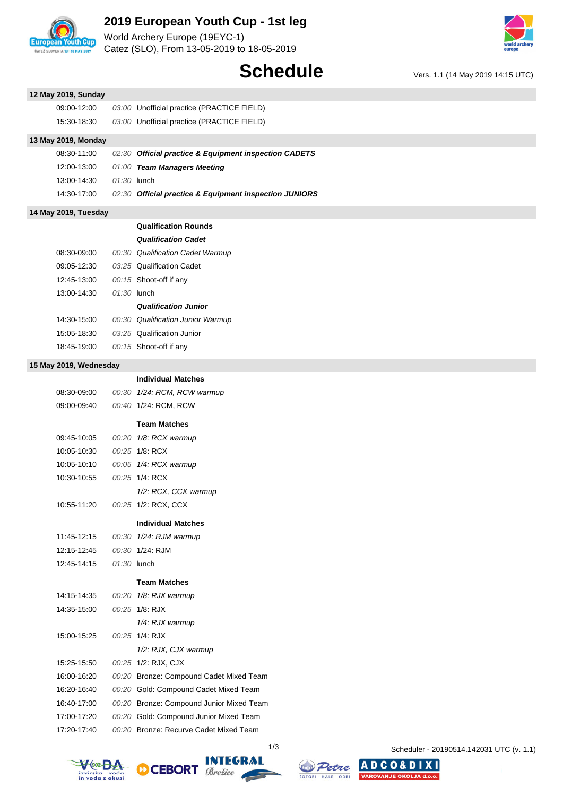

## **2019 European Youth Cup - 1st leg**

World Archery Europe (19EYC-1) Catez (SLO), From 13-05-2019 to 18-05-2019



# **Schedule** Vers. 1.1 (14 May 2019 14:15 UTC)

| 12 May 2019, Sunday    |             |                                                        |
|------------------------|-------------|--------------------------------------------------------|
| 09:00-12:00            |             | 03:00 Unofficial practice (PRACTICE FIELD)             |
| 15:30-18:30            |             | 03:00 Unofficial practice (PRACTICE FIELD)             |
| 13 May 2019, Monday    |             |                                                        |
| 08:30-11:00            |             | 02:30 Official practice & Equipment inspection CADETS  |
| 12:00-13:00            |             | 01:00 Team Managers Meeting                            |
| 13:00-14:30            | 01:30 lunch |                                                        |
| 14:30-17:00            |             | 02:30 Official practice & Equipment inspection JUNIORS |
| 14 May 2019, Tuesday   |             |                                                        |
|                        |             | <b>Qualification Rounds</b>                            |
|                        |             | <b>Qualification Cadet</b>                             |
| 08:30-09:00            |             | 00:30 Qualification Cadet Warmup                       |
| 09:05-12:30            |             | 03:25 Qualification Cadet                              |
| 12:45-13:00            |             | 00:15 Shoot-off if any                                 |
| 13:00-14:30            | 01:30 lunch |                                                        |
|                        |             | <b>Qualification Junior</b>                            |
| 14:30-15:00            |             | 00:30 Qualification Junior Warmup                      |
| 15:05-18:30            |             | 03:25 Qualification Junior                             |
| 18:45-19:00            |             | 00:15 Shoot-off if any                                 |
| 15 May 2019, Wednesday |             |                                                        |
|                        |             | <b>Individual Matches</b>                              |
| 08:30-09:00            |             | 00:30 1/24: RCM, RCW warmup                            |
| 09:00-09:40            |             | 00:40 1/24: RCM, RCW                                   |
|                        |             | <b>Team Matches</b>                                    |
| 09:45-10:05            |             | 00:20 1/8: RCX warmup                                  |
| 10:05-10:30            |             | 00:25 1/8: RCX                                         |
| 10:05-10:10            |             | 00:05 1/4: RCX warmup                                  |
| 10:30-10:55            |             | 00:25 1/4: RCX                                         |
|                        |             | 1/2: RCX, CCX warmup                                   |
| 10:55-11:20            |             | 00:25 1/2: RCX, CCX                                    |
|                        |             | <b>Individual Matches</b>                              |
| 11:45-12:15            |             | 00:30 1/24: RJM warmup                                 |
| 12:15-12:45            |             | 00:30 1/24: RJM                                        |
| 12:45-14:15            | 01:30 lunch |                                                        |
|                        |             | <b>Team Matches</b>                                    |
| 14:15-14:35            |             | 00:20 1/8: RJX warmup                                  |
| 14:35-15:00            |             | 00:25 1/8: RJX                                         |
|                        |             | 1/4: RJX warmup                                        |
| 15:00-15:25            |             | 00:25 1/4: RJX                                         |
|                        |             | 1/2: RJX, CJX warmup                                   |
| 15:25-15:50            |             | 00:25 1/2: RJX, CJX                                    |
| 16:00-16:20            |             | 00:20 Bronze: Compound Cadet Mixed Team                |
| 16:20-16:40            |             | 00:20 Gold: Compound Cadet Mixed Team                  |
| 16:40-17:00            |             | 00:20 Bronze: Compound Junior Mixed Team               |
| 17:00-17:20            |             | 00:20 Gold: Compound Junior Mixed Team                 |
| 17:20-17:40            |             | 00:20 Bronze: Recurve Cadet Mixed Team                 |









1/3 Scheduler - 20190514.142031 UTC (v. 1.1)

**ADCO&DIXI** 

VAROVANJE OKOLJA d.o.o.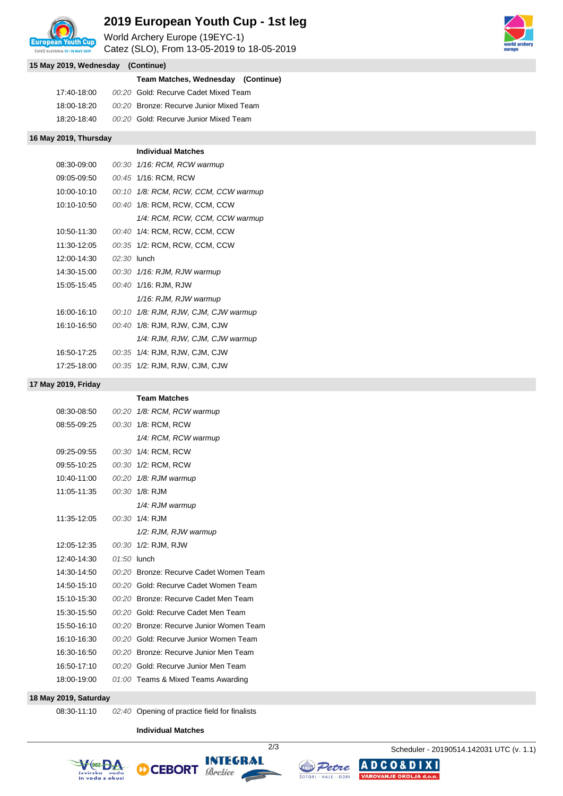

### **2019 European Youth Cup - 1st leg**

World Archery Europe (19EYC-1)

Catez (SLO), From 13-05-2019 to 18-05-2019



| 15 May 2019, Wednesday (Continue) |             |  |                                         |  |
|-----------------------------------|-------------|--|-----------------------------------------|--|
|                                   |             |  | Team Matches, Wednesday (Continue)      |  |
|                                   | 17:40-18:00 |  | 00:20 Gold: Recurve Cadet Mixed Team    |  |
|                                   | 18:00-18:20 |  | 00:20 Bronze: Recurve Junior Mixed Team |  |
|                                   | 18:20-18:40 |  | 00:20 Gold: Recurve Junior Mixed Team   |  |

#### **16 May 2019, Thursday**

|               |               | <b>Individual Matches</b>            |
|---------------|---------------|--------------------------------------|
| 08:30-09:00   |               | 00:30 1/16: RCM, RCW warmup          |
| 09:05-09:50   |               | 00:45 1/16: RCM. RCW                 |
| 10:00-10:10   |               | 00:10 1/8: RCM, RCW, CCM, CCW warmup |
| $10:10-10:50$ |               | 00:40 1/8: RCM, RCW, CCM, CCW        |
|               |               | 1/4: RCM, RCW, CCM, CCW warmup       |
| 10:50-11:30   |               | 00:40 1/4: RCM, RCW, CCM, CCW        |
| 11:30-12:05   |               | 00:35 1/2: RCM, RCW, CCM, CCW        |
| 12:00-14:30   | $02:30$ lunch |                                      |
| 14:30-15:00   |               | 00:30 1/16: RJM, RJW warmup          |
| 15:05-15:45   |               | 00:40 1/16: RJM, RJW                 |
|               |               | 1/16: RJM, RJW warmup                |
| 16:00-16:10   |               | 00:10 1/8: RJM, RJW, CJM, CJW warmup |
| 16:10-16:50   |               | 00:40 1/8: RJM, RJW, CJM, CJW        |
|               |               | 1/4: RJM, RJW, CJM, CJW warmup       |
| 16:50-17:25   |               | 00:35 1/4: RJM, RJW, CJM, CJW        |
| 17:25-18:00   |               | 00:35 1/2: RJM, RJW, CJM, CJW        |

#### **17 May 2019, Friday**

|             |               | <b>Team Matches</b>                     |
|-------------|---------------|-----------------------------------------|
| 08:30-08:50 |               | 00:20 1/8: RCM, RCW warmup              |
| 08:55-09:25 |               | 00:30 1/8: RCM, RCW                     |
|             |               | 1/4: RCM, RCW warmup                    |
| 09:25-09:55 |               | 00:30 1/4: RCM, RCW                     |
| 09:55-10:25 |               | 00:30 1/2: RCM, RCW                     |
| 10:40-11:00 |               | 00:20 1/8: RJM warmup                   |
| 11:05-11:35 |               | 00:30 1/8: RJM                          |
|             |               | 1/4: RJM warmup                         |
| 11:35-12:05 |               | $00:30$ 1/4: RJM                        |
|             |               | 1/2: RJM, RJW warmup                    |
| 12:05-12:35 |               | 00:30 1/2: RJM, RJW                     |
| 12:40-14:30 | $01:50$ lunch |                                         |
| 14:30-14:50 |               | 00:20 Bronze: Recurve Cadet Women Team  |
| 14:50-15:10 |               | 00:20 Gold: Recurve Cadet Women Team    |
| 15:10-15:30 |               | 00:20 Bronze: Recurve Cadet Men Team    |
| 15:30-15:50 |               | 00:20 Gold: Recurve Cadet Men Team      |
| 15:50-16:10 |               | 00:20 Bronze: Recurve Junior Women Team |
| 16:10-16:30 |               | 00:20 Gold: Recurve Junior Women Team   |
| 16:30-16:50 |               | 00:20 Bronze: Recurve Junior Men Team   |
| 16:50-17:10 |               | 00:20 Gold: Recurve Junior Men Team     |
| 18:00-19:00 |               | 01:00 Teams & Mixed Teams Awarding      |
|             |               |                                         |

### **18 May 2019, Saturday**

08:30-11:10 02:40 Opening of practice field for finalists

#### **Individual Matches**







**ADCO&DI** 

**VAROVANJE OKOLJA d.o.o.** 

2/3 Scheduler - 20190514.142031 UTC (v. 1.1)

 $\mathbf{X}$